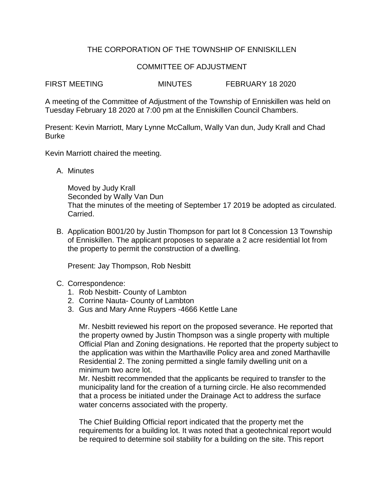## THE CORPORATION OF THE TOWNSHIP OF ENNISKILLEN

## COMMITTEE OF ADJUSTMENT

FIRST MEETING MINUTES FEBRUARY 18 2020

A meeting of the Committee of Adjustment of the Township of Enniskillen was held on Tuesday February 18 2020 at 7:00 pm at the Enniskillen Council Chambers.

Present: Kevin Marriott, Mary Lynne McCallum, Wally Van dun, Judy Krall and Chad Burke

Kevin Marriott chaired the meeting.

A. Minutes

Moved by Judy Krall Seconded by Wally Van Dun That the minutes of the meeting of September 17 2019 be adopted as circulated. Carried.

B. Application B001/20 by Justin Thompson for part lot 8 Concession 13 Township of Enniskillen. The applicant proposes to separate a 2 acre residential lot from the property to permit the construction of a dwelling.

Present: Jay Thompson, Rob Nesbitt

- C. Correspondence:
	- 1. Rob Nesbitt- County of Lambton
	- 2. Corrine Nauta- County of Lambton
	- 3. Gus and Mary Anne Ruypers -4666 Kettle Lane

Mr. Nesbitt reviewed his report on the proposed severance. He reported that the property owned by Justin Thompson was a single property with multiple Official Plan and Zoning designations. He reported that the property subject to the application was within the Marthaville Policy area and zoned Marthaville Residential 2. The zoning permitted a single family dwelling unit on a minimum two acre lot.

Mr. Nesbitt recommended that the applicants be required to transfer to the municipality land for the creation of a turning circle. He also recommended that a process be initiated under the Drainage Act to address the surface water concerns associated with the property.

The Chief Building Official report indicated that the property met the requirements for a building lot. It was noted that a geotechnical report would be required to determine soil stability for a building on the site. This report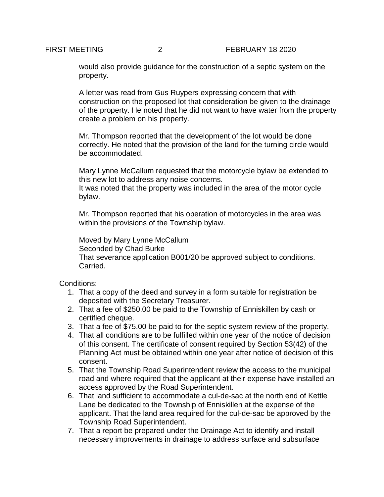would also provide guidance for the construction of a septic system on the property.

A letter was read from Gus Ruypers expressing concern that with construction on the proposed lot that consideration be given to the drainage of the property. He noted that he did not want to have water from the property create a problem on his property.

Mr. Thompson reported that the development of the lot would be done correctly. He noted that the provision of the land for the turning circle would be accommodated.

Mary Lynne McCallum requested that the motorcycle bylaw be extended to this new lot to address any noise concerns.

It was noted that the property was included in the area of the motor cycle bylaw.

Mr. Thompson reported that his operation of motorcycles in the area was within the provisions of the Township bylaw.

Moved by Mary Lynne McCallum Seconded by Chad Burke That severance application B001/20 be approved subject to conditions. Carried.

Conditions:

- 1. That a copy of the deed and survey in a form suitable for registration be deposited with the Secretary Treasurer.
- 2. That a fee of \$250.00 be paid to the Township of Enniskillen by cash or certified cheque.
- 3. That a fee of \$75.00 be paid to for the septic system review of the property.
- 4. That all conditions are to be fulfilled within one year of the notice of decision of this consent. The certificate of consent required by Section 53(42) of the Planning Act must be obtained within one year after notice of decision of this consent.
- 5. That the Township Road Superintendent review the access to the municipal road and where required that the applicant at their expense have installed an access approved by the Road Superintendent.
- 6. That land sufficient to accommodate a cul-de-sac at the north end of Kettle Lane be dedicated to the Township of Enniskillen at the expense of the applicant. That the land area required for the cul-de-sac be approved by the Township Road Superintendent.
- 7. That a report be prepared under the Drainage Act to identify and install necessary improvements in drainage to address surface and subsurface